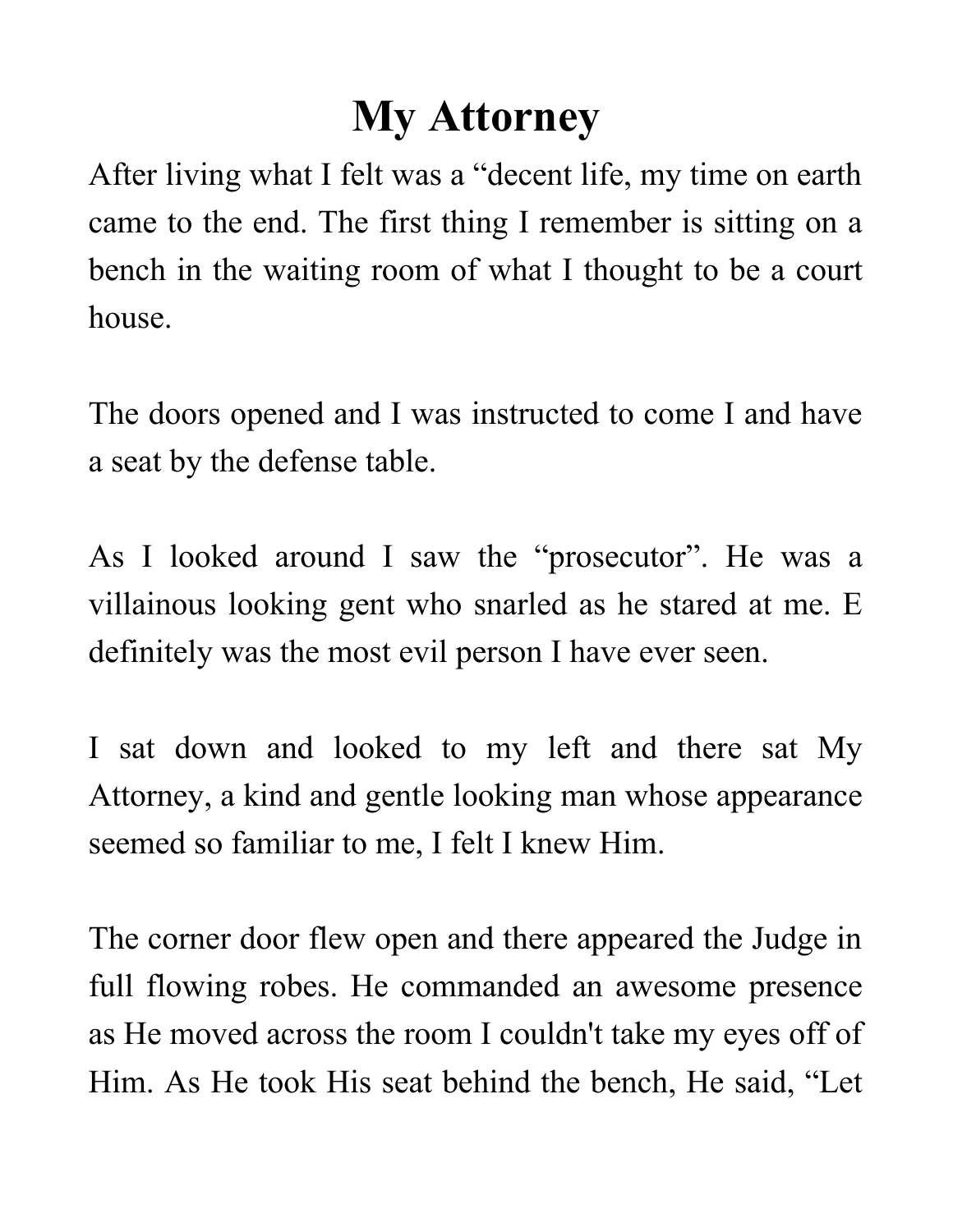## **My Attorney**

After living what I felt was a "decent life, my time on earth came to the end. The first thing I remember is sitting on a bench in the waiting room of what I thought to be a court house.

The doors opened and I was instructed to come I and have a seat by the defense table.

As I looked around I saw the "prosecutor". He was a villainous looking gent who snarled as he stared at me. E definitely was the most evil person I have ever seen.

I sat down and looked to my left and there sat My Attorney, a kind and gentle looking man whose appearance seemed so familiar to me, I felt I knew Him.

The corner door flew open and there appeared the Judge in full flowing robes. He commanded an awesome presence as He moved across the room I couldn't take my eyes off of Him. As He took His seat behind the bench, He said, "Let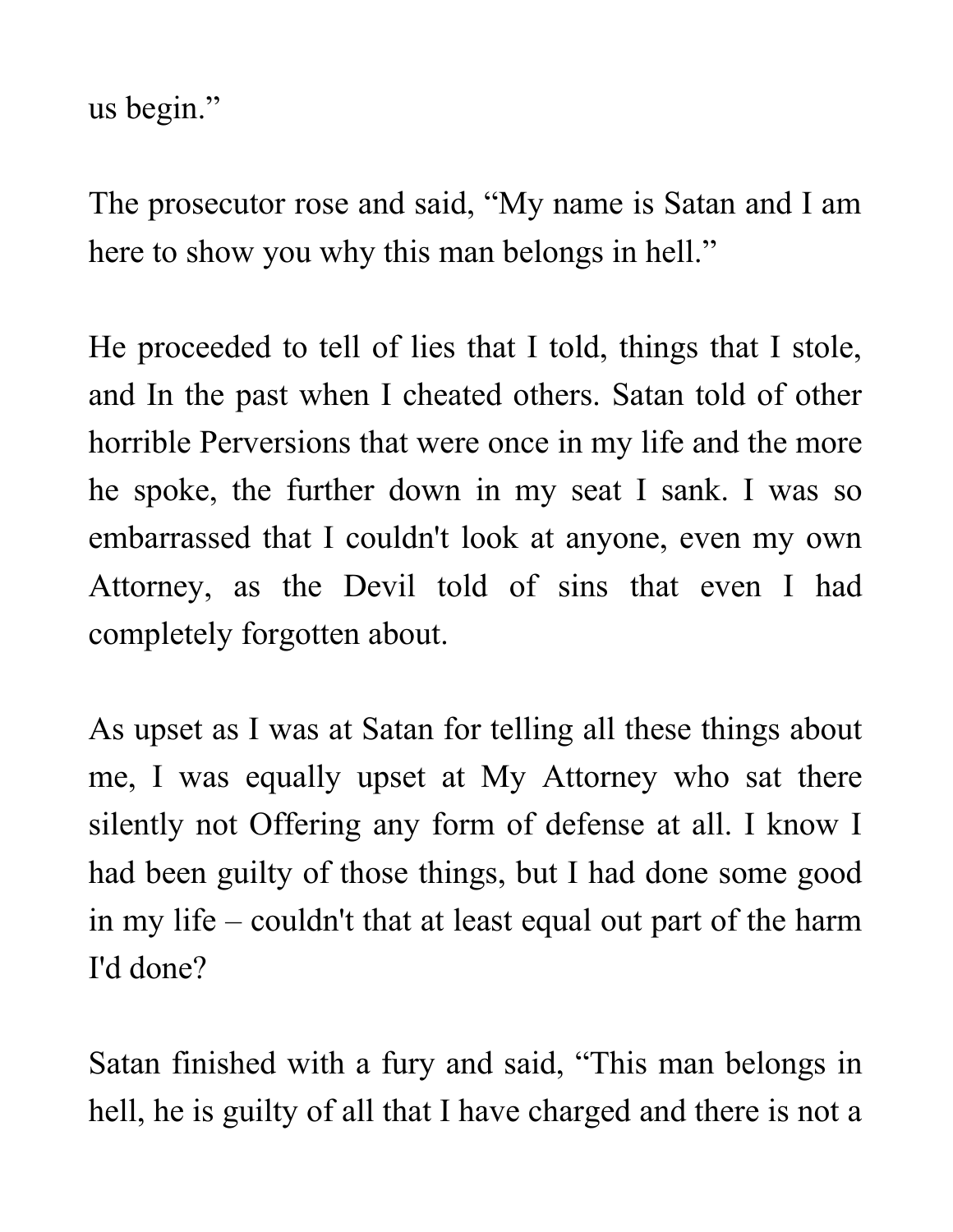us begin."

The prosecutor rose and said, "My name is Satan and I am here to show you why this man belongs in hell."

He proceeded to tell of lies that I told, things that I stole, and In the past when I cheated others. Satan told of other horrible Perversions that were once in my life and the more he spoke, the further down in my seat I sank. I was so embarrassed that I couldn't look at anyone, even my own Attorney, as the Devil told of sins that even I had completely forgotten about.

As upset as I was at Satan for telling all these things about me, I was equally upset at My Attorney who sat there silently not Offering any form of defense at all. I know I had been guilty of those things, but I had done some good in my life – couldn't that at least equal out part of the harm I'd done?

Satan finished with a fury and said, "This man belongs in hell, he is guilty of all that I have charged and there is not a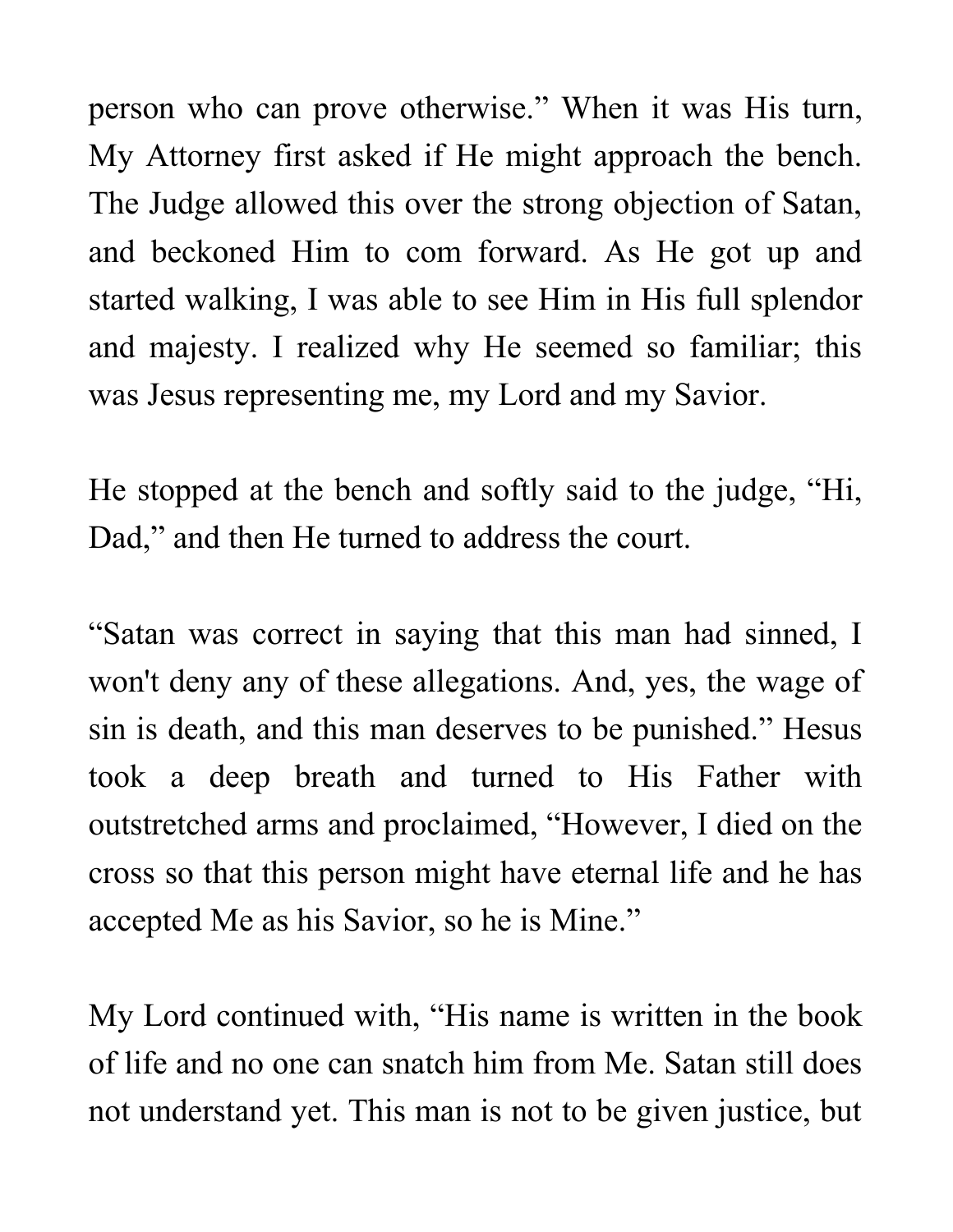person who can prove otherwise." When it was His turn, My Attorney first asked if He might approach the bench. The Judge allowed this over the strong objection of Satan, and beckoned Him to com forward. As He got up and started walking, I was able to see Him in His full splendor and majesty. I realized why He seemed so familiar; this was Jesus representing me, my Lord and my Savior.

He stopped at the bench and softly said to the judge, "Hi, Dad," and then He turned to address the court.

"Satan was correct in saying that this man had sinned, I won't deny any of these allegations. And, yes, the wage of sin is death, and this man deserves to be punished." Hesus took a deep breath and turned to His Father with outstretched arms and proclaimed, "However, I died on the cross so that this person might have eternal life and he has accepted Me as his Savior, so he is Mine."

My Lord continued with, "His name is written in the book of life and no one can snatch him from Me. Satan still does not understand yet. This man is not to be given justice, but